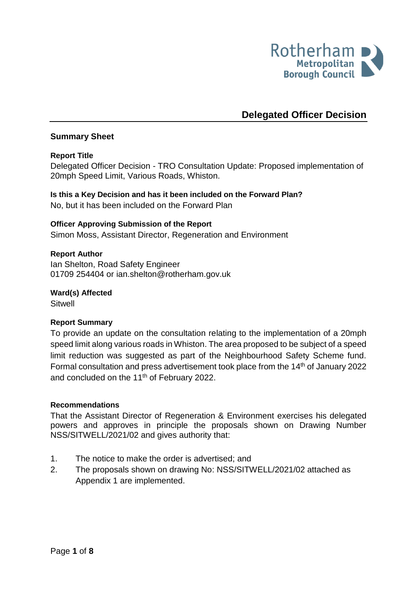

# **Delegated Officer Decision**

## **Summary Sheet**

## **Report Title**

<span id="page-0-0"></span>Delegated Officer Decision - TRO Consultation Update: Proposed implementation of 20mph Speed Limit, Various Roads, Whiston.

**Is this a Key Decision and has it been included on the Forward Plan?**  No, but it has been included on the Forward Plan

# **Officer Approving Submission of the Report**

Simon Moss, Assistant Director, Regeneration and Environment

## **Report Author**

<span id="page-0-1"></span>Ian Shelton, Road Safety Engineer 01709 254404 or ian.shelton@rotherham.gov.uk

**Ward(s) Affected Sitwell** 

#### **Report Summary**

To provide an update on the consultation relating to the implementation of a 20mph speed limit along various roads in Whiston. The area proposed to be subject of a speed limit reduction was suggested as part of the Neighbourhood Safety Scheme fund. Formal consultation and press advertisement took place from the 14<sup>th</sup> of January 2022 and concluded on the 11<sup>th</sup> of February 2022.

#### **Recommendations**

That the Assistant Director of Regeneration & Environment exercises his delegated powers and approves in principle the proposals shown on Drawing Number NSS/SITWELL/2021/02 and gives authority that:

- 1. The notice to make the order is advertised; and
- 2. The proposals shown on drawing No: NSS/SITWELL/2021/02 attached as Appendix 1 are implemented.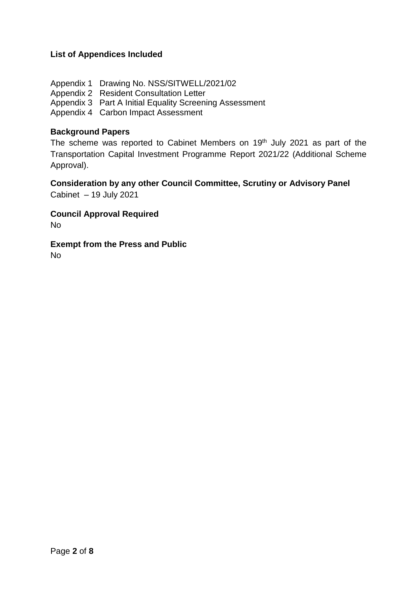# **List of Appendices Included**

Appendix 1 Drawing No. NSS/SITWELL/2021/02 Appendix 2 Resident Consultation Letter Appendix 3 Part A Initial Equality Screening Assessment Appendix 4 Carbon Impact Assessment

#### **Background Papers**

The scheme was reported to Cabinet Members on 19<sup>th</sup> July 2021 as part of the Transportation Capital Investment Programme Report 2021/22 (Additional Scheme Approval).

**Consideration by any other Council Committee, Scrutiny or Advisory Panel** Cabinet – 19 July 2021

**Council Approval Required** No

**Exempt from the Press and Public** No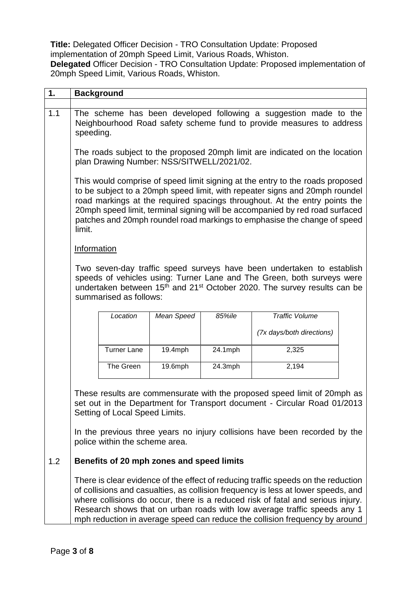**Title:** Delegated Officer Decision - [TRO Consultation Update: Proposed](#page-0-0)  [implementation of 20mph Speed Limit,](#page-0-0) Various Roads, Whiston. **Delegated** Officer Decision - [TRO Consultation Update: Proposed implementation of](#page-0-0)  [20mph Speed Limit,](#page-0-0) Various Roads, Whiston.

| 1.  | <b>Background</b>                                                                                                                                                                                                                                                                                                                                                                                                    |                                                                                                                                                                                                                                                                                                                                                                                                        |            |         |                           |  |
|-----|----------------------------------------------------------------------------------------------------------------------------------------------------------------------------------------------------------------------------------------------------------------------------------------------------------------------------------------------------------------------------------------------------------------------|--------------------------------------------------------------------------------------------------------------------------------------------------------------------------------------------------------------------------------------------------------------------------------------------------------------------------------------------------------------------------------------------------------|------------|---------|---------------------------|--|
| 1.1 |                                                                                                                                                                                                                                                                                                                                                                                                                      | The scheme has been developed following a suggestion made to the<br>Neighbourhood Road safety scheme fund to provide measures to address<br>speeding.                                                                                                                                                                                                                                                  |            |         |                           |  |
|     |                                                                                                                                                                                                                                                                                                                                                                                                                      | The roads subject to the proposed 20mph limit are indicated on the location<br>plan Drawing Number: NSS/SITWELL/2021/02.                                                                                                                                                                                                                                                                               |            |         |                           |  |
|     | limit.                                                                                                                                                                                                                                                                                                                                                                                                               | This would comprise of speed limit signing at the entry to the roads proposed<br>to be subject to a 20mph speed limit, with repeater signs and 20mph roundel<br>road markings at the required spacings throughout. At the entry points the<br>20mph speed limit, terminal signing will be accompanied by red road surfaced<br>patches and 20mph roundel road markings to emphasise the change of speed |            |         |                           |  |
|     |                                                                                                                                                                                                                                                                                                                                                                                                                      | Information                                                                                                                                                                                                                                                                                                                                                                                            |            |         |                           |  |
|     |                                                                                                                                                                                                                                                                                                                                                                                                                      | Two seven-day traffic speed surveys have been undertaken to establish<br>speeds of vehicles using: Turner Lane and The Green, both surveys were<br>undertaken between 15 <sup>th</sup> and 21 <sup>st</sup> October 2020. The survey results can be<br>summarised as follows:                                                                                                                          |            |         |                           |  |
|     |                                                                                                                                                                                                                                                                                                                                                                                                                      | Location                                                                                                                                                                                                                                                                                                                                                                                               | Mean Speed | 85%ile  | <b>Traffic Volume</b>     |  |
|     |                                                                                                                                                                                                                                                                                                                                                                                                                      |                                                                                                                                                                                                                                                                                                                                                                                                        |            |         | (7x days/both directions) |  |
|     |                                                                                                                                                                                                                                                                                                                                                                                                                      | <b>Turner Lane</b>                                                                                                                                                                                                                                                                                                                                                                                     | 19.4mph    | 24.1mph | 2,325                     |  |
|     |                                                                                                                                                                                                                                                                                                                                                                                                                      | The Green                                                                                                                                                                                                                                                                                                                                                                                              | 19.6mph    | 24.3mph | 2,194                     |  |
|     | These results are commensurate with the proposed speed limit of 20mph as<br>set out in the Department for Transport document - Circular Road 01/2013<br>Setting of Local Speed Limits.                                                                                                                                                                                                                               |                                                                                                                                                                                                                                                                                                                                                                                                        |            |         |                           |  |
|     |                                                                                                                                                                                                                                                                                                                                                                                                                      | In the previous three years no injury collisions have been recorded by the<br>police within the scheme area.                                                                                                                                                                                                                                                                                           |            |         |                           |  |
| 1.2 |                                                                                                                                                                                                                                                                                                                                                                                                                      | Benefits of 20 mph zones and speed limits                                                                                                                                                                                                                                                                                                                                                              |            |         |                           |  |
|     | There is clear evidence of the effect of reducing traffic speeds on the reduction<br>of collisions and casualties, as collision frequency is less at lower speeds, and<br>where collisions do occur, there is a reduced risk of fatal and serious injury.<br>Research shows that on urban roads with low average traffic speeds any 1<br>mph reduction in average speed can reduce the collision frequency by around |                                                                                                                                                                                                                                                                                                                                                                                                        |            |         |                           |  |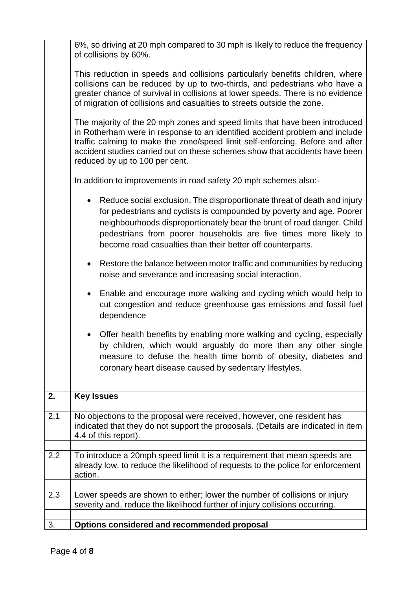|                                                                                                                                                                                                                                                                                                                                                               | 6%, so driving at 20 mph compared to 30 mph is likely to reduce the frequency                                                                                                                                                                                                                                                                                |  |  |  |  |
|---------------------------------------------------------------------------------------------------------------------------------------------------------------------------------------------------------------------------------------------------------------------------------------------------------------------------------------------------------------|--------------------------------------------------------------------------------------------------------------------------------------------------------------------------------------------------------------------------------------------------------------------------------------------------------------------------------------------------------------|--|--|--|--|
|                                                                                                                                                                                                                                                                                                                                                               | of collisions by 60%.                                                                                                                                                                                                                                                                                                                                        |  |  |  |  |
|                                                                                                                                                                                                                                                                                                                                                               | This reduction in speeds and collisions particularly benefits children, where<br>collisions can be reduced by up to two-thirds, and pedestrians who have a<br>greater chance of survival in collisions at lower speeds. There is no evidence<br>of migration of collisions and casualties to streets outside the zone.                                       |  |  |  |  |
|                                                                                                                                                                                                                                                                                                                                                               | The majority of the 20 mph zones and speed limits that have been introduced<br>in Rotherham were in response to an identified accident problem and include<br>traffic calming to make the zone/speed limit self-enforcing. Before and after<br>accident studies carried out on these schemes show that accidents have been<br>reduced by up to 100 per cent. |  |  |  |  |
|                                                                                                                                                                                                                                                                                                                                                               | In addition to improvements in road safety 20 mph schemes also:-                                                                                                                                                                                                                                                                                             |  |  |  |  |
| Reduce social exclusion. The disproportionate threat of death and injury<br>for pedestrians and cyclists is compounded by poverty and age. Poorer<br>neighbourhoods disproportionately bear the brunt of road danger. Child<br>pedestrians from poorer households are five times more likely to<br>become road casualties than their better off counterparts. |                                                                                                                                                                                                                                                                                                                                                              |  |  |  |  |
|                                                                                                                                                                                                                                                                                                                                                               | Restore the balance between motor traffic and communities by reducing<br>$\bullet$<br>noise and severance and increasing social interaction.                                                                                                                                                                                                                 |  |  |  |  |
|                                                                                                                                                                                                                                                                                                                                                               | Enable and encourage more walking and cycling which would help to<br>$\bullet$<br>cut congestion and reduce greenhouse gas emissions and fossil fuel<br>dependence                                                                                                                                                                                           |  |  |  |  |
|                                                                                                                                                                                                                                                                                                                                                               | Offer health benefits by enabling more walking and cycling, especially<br>by children, which would arguably do more than any other single<br>measure to defuse the health time bomb of obesity, diabetes and<br>coronary heart disease caused by sedentary lifestyles.                                                                                       |  |  |  |  |
|                                                                                                                                                                                                                                                                                                                                                               |                                                                                                                                                                                                                                                                                                                                                              |  |  |  |  |
| 2.                                                                                                                                                                                                                                                                                                                                                            | <b>Key Issues</b>                                                                                                                                                                                                                                                                                                                                            |  |  |  |  |
| 2.1                                                                                                                                                                                                                                                                                                                                                           | No objections to the proposal were received, however, one resident has<br>indicated that they do not support the proposals. (Details are indicated in item<br>4.4 of this report).                                                                                                                                                                           |  |  |  |  |
|                                                                                                                                                                                                                                                                                                                                                               |                                                                                                                                                                                                                                                                                                                                                              |  |  |  |  |
| 2.2                                                                                                                                                                                                                                                                                                                                                           | To introduce a 20mph speed limit it is a requirement that mean speeds are<br>already low, to reduce the likelihood of requests to the police for enforcement<br>action.                                                                                                                                                                                      |  |  |  |  |
|                                                                                                                                                                                                                                                                                                                                                               |                                                                                                                                                                                                                                                                                                                                                              |  |  |  |  |
| 2.3                                                                                                                                                                                                                                                                                                                                                           | Lower speeds are shown to either; lower the number of collisions or injury<br>severity and, reduce the likelihood further of injury collisions occurring.                                                                                                                                                                                                    |  |  |  |  |
| 3.                                                                                                                                                                                                                                                                                                                                                            | Options considered and recommended proposal                                                                                                                                                                                                                                                                                                                  |  |  |  |  |
|                                                                                                                                                                                                                                                                                                                                                               |                                                                                                                                                                                                                                                                                                                                                              |  |  |  |  |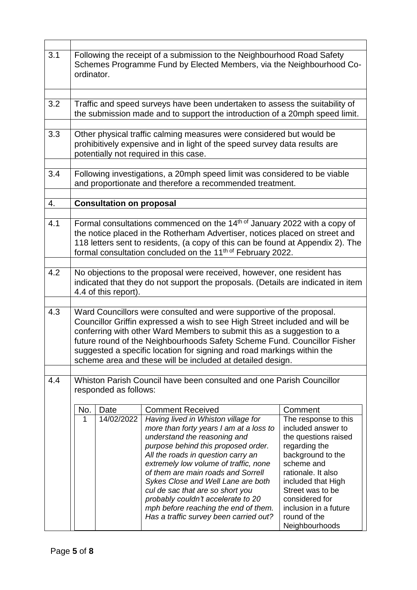| 3.1                                                                                                  |                                                                                                                                                                                                                                                                                                                          | Following the receipt of a submission to the Neighbourhood Road Safety<br>Schemes Programme Fund by Elected Members, via the Neighbourhood Co-<br>ordinator.                                                                                                                                                                                                                                                                                      |                                                                                                                                                                                                                                                                                                                                                                                                                                                                                                         |                                                                                                                                                                                                                                                              |  |
|------------------------------------------------------------------------------------------------------|--------------------------------------------------------------------------------------------------------------------------------------------------------------------------------------------------------------------------------------------------------------------------------------------------------------------------|---------------------------------------------------------------------------------------------------------------------------------------------------------------------------------------------------------------------------------------------------------------------------------------------------------------------------------------------------------------------------------------------------------------------------------------------------|---------------------------------------------------------------------------------------------------------------------------------------------------------------------------------------------------------------------------------------------------------------------------------------------------------------------------------------------------------------------------------------------------------------------------------------------------------------------------------------------------------|--------------------------------------------------------------------------------------------------------------------------------------------------------------------------------------------------------------------------------------------------------------|--|
| 3.2                                                                                                  | Traffic and speed surveys have been undertaken to assess the suitability of<br>the submission made and to support the introduction of a 20mph speed limit.                                                                                                                                                               |                                                                                                                                                                                                                                                                                                                                                                                                                                                   |                                                                                                                                                                                                                                                                                                                                                                                                                                                                                                         |                                                                                                                                                                                                                                                              |  |
| 3.3                                                                                                  | Other physical traffic calming measures were considered but would be<br>prohibitively expensive and in light of the speed survey data results are<br>potentially not required in this case.                                                                                                                              |                                                                                                                                                                                                                                                                                                                                                                                                                                                   |                                                                                                                                                                                                                                                                                                                                                                                                                                                                                                         |                                                                                                                                                                                                                                                              |  |
| 3.4                                                                                                  | Following investigations, a 20mph speed limit was considered to be viable<br>and proportionate and therefore a recommended treatment.                                                                                                                                                                                    |                                                                                                                                                                                                                                                                                                                                                                                                                                                   |                                                                                                                                                                                                                                                                                                                                                                                                                                                                                                         |                                                                                                                                                                                                                                                              |  |
| 4.                                                                                                   | <b>Consultation on proposal</b>                                                                                                                                                                                                                                                                                          |                                                                                                                                                                                                                                                                                                                                                                                                                                                   |                                                                                                                                                                                                                                                                                                                                                                                                                                                                                                         |                                                                                                                                                                                                                                                              |  |
| 4.1                                                                                                  | Formal consultations commenced on the $14th of$ January 2022 with a copy of<br>the notice placed in the Rotherham Advertiser, notices placed on street and<br>118 letters sent to residents, (a copy of this can be found at Appendix 2). The<br>formal consultation concluded on the 11 <sup>th of</sup> February 2022. |                                                                                                                                                                                                                                                                                                                                                                                                                                                   |                                                                                                                                                                                                                                                                                                                                                                                                                                                                                                         |                                                                                                                                                                                                                                                              |  |
|                                                                                                      |                                                                                                                                                                                                                                                                                                                          |                                                                                                                                                                                                                                                                                                                                                                                                                                                   |                                                                                                                                                                                                                                                                                                                                                                                                                                                                                                         |                                                                                                                                                                                                                                                              |  |
| 4.2                                                                                                  | No objections to the proposal were received, however, one resident has<br>indicated that they do not support the proposals. (Details are indicated in item<br>4.4 of this report).                                                                                                                                       |                                                                                                                                                                                                                                                                                                                                                                                                                                                   |                                                                                                                                                                                                                                                                                                                                                                                                                                                                                                         |                                                                                                                                                                                                                                                              |  |
| 4.3                                                                                                  |                                                                                                                                                                                                                                                                                                                          | Ward Councillors were consulted and were supportive of the proposal.<br>Councillor Griffin expressed a wish to see High Street included and will be<br>conferring with other Ward Members to submit this as a suggestion to a<br>future round of the Neighbourhoods Safety Scheme Fund. Councillor Fisher<br>suggested a specific location for signing and road markings within the<br>scheme area and these will be included at detailed design. |                                                                                                                                                                                                                                                                                                                                                                                                                                                                                                         |                                                                                                                                                                                                                                                              |  |
| Whiston Parish Council have been consulted and one Parish Councillor<br>4.4<br>responded as follows: |                                                                                                                                                                                                                                                                                                                          |                                                                                                                                                                                                                                                                                                                                                                                                                                                   |                                                                                                                                                                                                                                                                                                                                                                                                                                                                                                         |                                                                                                                                                                                                                                                              |  |
|                                                                                                      | No.<br>1                                                                                                                                                                                                                                                                                                                 | Date<br>14/02/2022                                                                                                                                                                                                                                                                                                                                                                                                                                | <b>Comment Received</b><br>Having lived in Whiston village for<br>more than forty years I am at a loss to<br>understand the reasoning and<br>purpose behind this proposed order.<br>All the roads in question carry an<br>extremely low volume of traffic, none<br>of them are main roads and Sorrell<br>Sykes Close and Well Lane are both<br>cul de sac that are so short you<br>probably couldn't accelerate to 20<br>mph before reaching the end of them.<br>Has a traffic survey been carried out? | Comment<br>The response to this<br>included answer to<br>the questions raised<br>regarding the<br>background to the<br>scheme and<br>rationale. It also<br>included that High<br>Street was to be<br>considered for<br>inclusion in a future<br>round of the |  |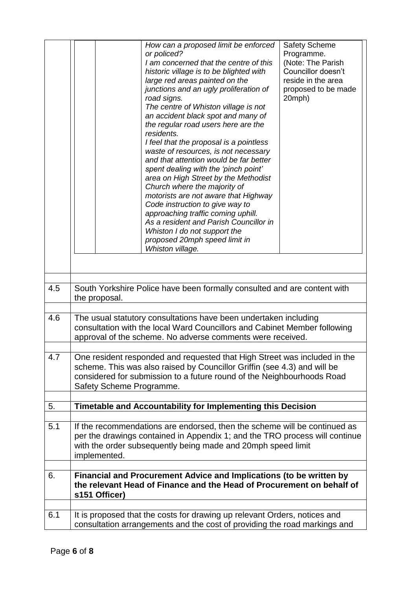|     | How can a proposed limit be enforced<br>or policed?<br>I am concerned that the centre of this<br>historic village is to be blighted with<br>large red areas painted on the<br>junctions and an ugly proliferation of<br>road signs.<br>The centre of Whiston village is not<br>an accident black spot and many of<br>the regular road users here are the<br>residents.<br>I feel that the proposal is a pointless<br>waste of resources, is not necessary<br>and that attention would be far better<br>spent dealing with the 'pinch point'<br>area on High Street by the Methodist<br>Church where the majority of<br>motorists are not aware that Highway<br>Code instruction to give way to<br>approaching traffic coming uphill.<br>As a resident and Parish Councillor in<br>Whiston I do not support the<br>proposed 20mph speed limit in<br>Whiston village. | <b>Safety Scheme</b><br>Programme.<br>(Note: The Parish<br>Councillor doesn't<br>reside in the area<br>proposed to be made<br>20mph) |  |  |
|-----|---------------------------------------------------------------------------------------------------------------------------------------------------------------------------------------------------------------------------------------------------------------------------------------------------------------------------------------------------------------------------------------------------------------------------------------------------------------------------------------------------------------------------------------------------------------------------------------------------------------------------------------------------------------------------------------------------------------------------------------------------------------------------------------------------------------------------------------------------------------------|--------------------------------------------------------------------------------------------------------------------------------------|--|--|
|     |                                                                                                                                                                                                                                                                                                                                                                                                                                                                                                                                                                                                                                                                                                                                                                                                                                                                     |                                                                                                                                      |  |  |
| 4.5 | South Yorkshire Police have been formally consulted and are content with<br>the proposal.                                                                                                                                                                                                                                                                                                                                                                                                                                                                                                                                                                                                                                                                                                                                                                           |                                                                                                                                      |  |  |
|     |                                                                                                                                                                                                                                                                                                                                                                                                                                                                                                                                                                                                                                                                                                                                                                                                                                                                     |                                                                                                                                      |  |  |
| 4.6 | The usual statutory consultations have been undertaken including<br>consultation with the local Ward Councillors and Cabinet Member following<br>approval of the scheme. No adverse comments were received.                                                                                                                                                                                                                                                                                                                                                                                                                                                                                                                                                                                                                                                         |                                                                                                                                      |  |  |
|     |                                                                                                                                                                                                                                                                                                                                                                                                                                                                                                                                                                                                                                                                                                                                                                                                                                                                     |                                                                                                                                      |  |  |
| 4.7 | One resident responded and requested that High Street was included in the<br>scheme. This was also raised by Councillor Griffin (see 4.3) and will be<br>considered for submission to a future round of the Neighbourhoods Road<br>Safety Scheme Programme.                                                                                                                                                                                                                                                                                                                                                                                                                                                                                                                                                                                                         |                                                                                                                                      |  |  |
| 5.  | Timetable and Accountability for Implementing this Decision                                                                                                                                                                                                                                                                                                                                                                                                                                                                                                                                                                                                                                                                                                                                                                                                         |                                                                                                                                      |  |  |
|     |                                                                                                                                                                                                                                                                                                                                                                                                                                                                                                                                                                                                                                                                                                                                                                                                                                                                     |                                                                                                                                      |  |  |
| 5.1 | If the recommendations are endorsed, then the scheme will be continued as<br>per the drawings contained in Appendix 1; and the TRO process will continue<br>with the order subsequently being made and 20mph speed limit<br>implemented.                                                                                                                                                                                                                                                                                                                                                                                                                                                                                                                                                                                                                            |                                                                                                                                      |  |  |
| 6.  | Financial and Procurement Advice and Implications (to be written by<br>the relevant Head of Finance and the Head of Procurement on behalf of<br>s151 Officer)                                                                                                                                                                                                                                                                                                                                                                                                                                                                                                                                                                                                                                                                                                       |                                                                                                                                      |  |  |
|     |                                                                                                                                                                                                                                                                                                                                                                                                                                                                                                                                                                                                                                                                                                                                                                                                                                                                     |                                                                                                                                      |  |  |
| 6.1 | It is proposed that the costs for drawing up relevant Orders, notices and<br>consultation arrangements and the cost of providing the road markings and                                                                                                                                                                                                                                                                                                                                                                                                                                                                                                                                                                                                                                                                                                              |                                                                                                                                      |  |  |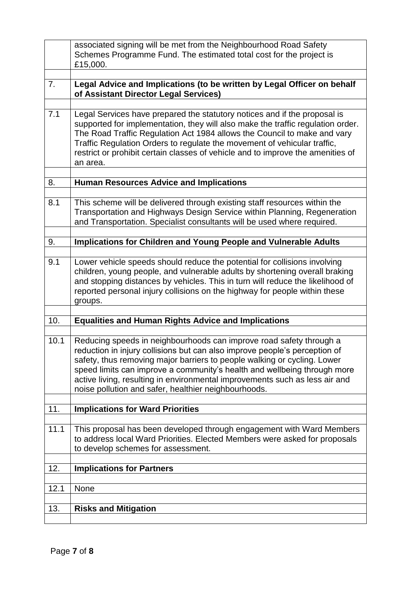|      | associated signing will be met from the Neighbourhood Road Safety                                                                                                                                                                                                                                                                                                                                                                                |  |  |  |
|------|--------------------------------------------------------------------------------------------------------------------------------------------------------------------------------------------------------------------------------------------------------------------------------------------------------------------------------------------------------------------------------------------------------------------------------------------------|--|--|--|
|      | Schemes Programme Fund. The estimated total cost for the project is                                                                                                                                                                                                                                                                                                                                                                              |  |  |  |
|      | £15,000.                                                                                                                                                                                                                                                                                                                                                                                                                                         |  |  |  |
|      |                                                                                                                                                                                                                                                                                                                                                                                                                                                  |  |  |  |
| 7.   | Legal Advice and Implications (to be written by Legal Officer on behalf<br>of Assistant Director Legal Services)                                                                                                                                                                                                                                                                                                                                 |  |  |  |
| 7.1  | Legal Services have prepared the statutory notices and if the proposal is                                                                                                                                                                                                                                                                                                                                                                        |  |  |  |
|      | supported for implementation, they will also make the traffic regulation order.<br>The Road Traffic Regulation Act 1984 allows the Council to make and vary<br>Traffic Regulation Orders to regulate the movement of vehicular traffic,<br>restrict or prohibit certain classes of vehicle and to improve the amenities of<br>an area.                                                                                                           |  |  |  |
|      | <b>Human Resources Advice and Implications</b>                                                                                                                                                                                                                                                                                                                                                                                                   |  |  |  |
| 8.   |                                                                                                                                                                                                                                                                                                                                                                                                                                                  |  |  |  |
| 8.1  | This scheme will be delivered through existing staff resources within the<br>Transportation and Highways Design Service within Planning, Regeneration<br>and Transportation. Specialist consultants will be used where required.                                                                                                                                                                                                                 |  |  |  |
| 9.   | Implications for Children and Young People and Vulnerable Adults                                                                                                                                                                                                                                                                                                                                                                                 |  |  |  |
|      |                                                                                                                                                                                                                                                                                                                                                                                                                                                  |  |  |  |
| 9.1  | Lower vehicle speeds should reduce the potential for collisions involving<br>children, young people, and vulnerable adults by shortening overall braking<br>and stopping distances by vehicles. This in turn will reduce the likelihood of<br>reported personal injury collisions on the highway for people within these<br>groups.                                                                                                              |  |  |  |
|      |                                                                                                                                                                                                                                                                                                                                                                                                                                                  |  |  |  |
| 10.  | <b>Equalities and Human Rights Advice and Implications</b>                                                                                                                                                                                                                                                                                                                                                                                       |  |  |  |
|      |                                                                                                                                                                                                                                                                                                                                                                                                                                                  |  |  |  |
| 10.1 | Reducing speeds in neighbourhoods can improve road safety through a<br>reduction in injury collisions but can also improve people's perception of<br>safety, thus removing major barriers to people walking or cycling. Lower<br>speed limits can improve a community's health and wellbeing through more<br>active living, resulting in environmental improvements such as less air and<br>noise pollution and safer, healthier neighbourhoods. |  |  |  |
|      |                                                                                                                                                                                                                                                                                                                                                                                                                                                  |  |  |  |
| 11.  | <b>Implications for Ward Priorities</b>                                                                                                                                                                                                                                                                                                                                                                                                          |  |  |  |
| 11.1 | This proposal has been developed through engagement with Ward Members<br>to address local Ward Priorities. Elected Members were asked for proposals<br>to develop schemes for assessment.                                                                                                                                                                                                                                                        |  |  |  |
| 12.  | <b>Implications for Partners</b>                                                                                                                                                                                                                                                                                                                                                                                                                 |  |  |  |
|      |                                                                                                                                                                                                                                                                                                                                                                                                                                                  |  |  |  |
| 12.1 | None                                                                                                                                                                                                                                                                                                                                                                                                                                             |  |  |  |
|      |                                                                                                                                                                                                                                                                                                                                                                                                                                                  |  |  |  |
| 13.  | <b>Risks and Mitigation</b>                                                                                                                                                                                                                                                                                                                                                                                                                      |  |  |  |
|      |                                                                                                                                                                                                                                                                                                                                                                                                                                                  |  |  |  |